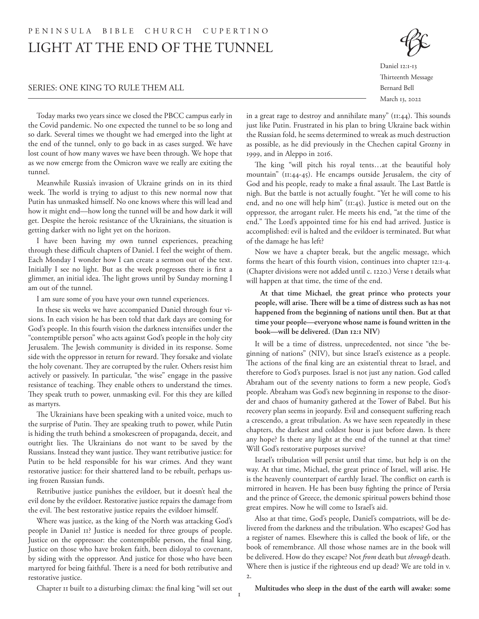# LIGHT AT THE END OF THE TUNNEL PENINSULA BIBLE CHURCH CUPERTINO

#### SERIES: ONE KING TO RULE THEM ALL

Daniel 12:1-13 Thirteenth Message Bernard Bell March 13, 2022

Today marks two years since we closed the PBCC campus early in the Covid pandemic. No one expected the tunnel to be so long and so dark. Several times we thought we had emerged into the light at the end of the tunnel, only to go back in as cases surged. We have lost count of how many waves we have been through. We hope that as we now emerge from the Omicron wave we really are exiting the tunnel.

Meanwhile Russia's invasion of Ukraine grinds on in its third week. The world is trying to adjust to this new normal now that Putin has unmasked himself. No one knows where this will lead and how it might end—how long the tunnel will be and how dark it will get. Despite the heroic resistance of the Ukrainians, the situation is getting darker with no light yet on the horizon.

I have been having my own tunnel experiences, preaching through these difficult chapters of Daniel. I feel the weight of them. Each Monday I wonder how I can create a sermon out of the text. Initially I see no light. But as the week progresses there is first a glimmer, an initial idea. The light grows until by Sunday morning I am out of the tunnel.

I am sure some of you have your own tunnel experiences.

In these six weeks we have accompanied Daniel through four visions. In each vision he has been told that dark days are coming for God's people. In this fourth vision the darkness intensifies under the "contemptible person" who acts against God's people in the holy city Jerusalem. The Jewish community is divided in its response. Some side with the oppressor in return for reward. They forsake and violate the holy covenant. They are corrupted by the ruler. Others resist him actively or passively. In particular, "the wise" engage in the passive resistance of teaching. They enable others to understand the times. They speak truth to power, unmasking evil. For this they are killed as martyrs.

The Ukrainians have been speaking with a united voice, much to the surprise of Putin. They are speaking truth to power, while Putin is hiding the truth behind a smokescreen of propaganda, deceit, and outright lies. The Ukrainians do not want to be saved by the Russians. Instead they want justice. They want retributive justice: for Putin to be held responsible for his war crimes. And they want restorative justice: for their shattered land to be rebuilt, perhaps using frozen Russian funds.

Retributive justice punishes the evildoer, but it doesn't heal the evil done by the evildoer. Restorative justice repairs the damage from the evil. The best restorative justice repairs the evildoer himself.

Where was justice, as the king of the North was attacking God's people in Daniel 11? Justice is needed for three groups of people. Justice on the oppressor: the contemptible person, the final king. Justice on those who have broken faith, been disloyal to covenant, by siding with the oppressor. And justice for those who have been martyred for being faithful. There is a need for both retributive and restorative justice.

in a great rage to destroy and annihilate many" (11:44). This sounds just like Putin. Frustrated in his plan to bring Ukraine back within the Russian fold, he seems determined to wreak as much destruction as possible, as he did previously in the Chechen capital Grozny in 1999, and in Aleppo in 2016.

The king "will pitch his royal tents…at the beautiful holy mountain" (11:44-45). He encamps outside Jerusalem, the city of God and his people, ready to make a final assault. The Last Battle is nigh. But the battle is not actually fought. "Yet he will come to his end, and no one will help him" (11:45). Justice is meted out on the oppressor, the arrogant ruler. He meets his end, "at the time of the end." The Lord's appointed time for his end had arrived. Justice is accomplished: evil is halted and the evildoer is terminated. But what of the damage he has left?

Now we have a chapter break, but the angelic message, which forms the heart of this fourth vision, continues into chapter 12:1-4. (Chapter divisions were not added until c. 1220.) Verse 1 details what will happen at that time, the time of the end.

**At that time Michael, the great prince who protects your people, will arise. There will be a time of distress such as has not happened from the beginning of nations until then. But at that time your people—everyone whose name is found written in the book—will be delivered. (Dan 12:1 NIV)**

It will be a time of distress, unprecedented, not since "the beginning of nations" (NIV), but since Israel's existence as a people. The actions of the final king are an existential threat to Israel, and therefore to God's purposes. Israel is not just any nation. God called Abraham out of the seventy nations to form a new people, God's people. Abraham was God's new beginning in response to the disorder and chaos of humanity gathered at the Tower of Babel. But his recovery plan seems in jeopardy. Evil and consequent suffering reach a crescendo, a great tribulation. As we have seen repeatedly in these chapters, the darkest and coldest hour is just before dawn. Is there any hope? Is there any light at the end of the tunnel at that time? Will God's restorative purposes survive?

Israel's tribulation will persist until that time, but help is on the way. At that time, Michael, the great prince of Israel, will arise. He is the heavenly counterpart of earthly Israel. The conflict on earth is mirrored in heaven. He has been busy fighting the prince of Persia and the prince of Greece, the demonic spiritual powers behind those great empires. Now he will come to Israel's aid.

Also at that time, God's people, Daniel's compatriots, will be delivered from the darkness and the tribulation. Who escapes? God has a register of names. Elsewhere this is called the book of life, or the book of remembrance. All those whose names are in the book will be delivered. How do they escape? Not *from* death but *through* death. Where then is justice if the righteous end up dead? We are told in v. 2.

Chapter 11 built to a disturbing climax: the final king "will set out

**Multitudes who sleep in the dust of the earth will awake: some**

1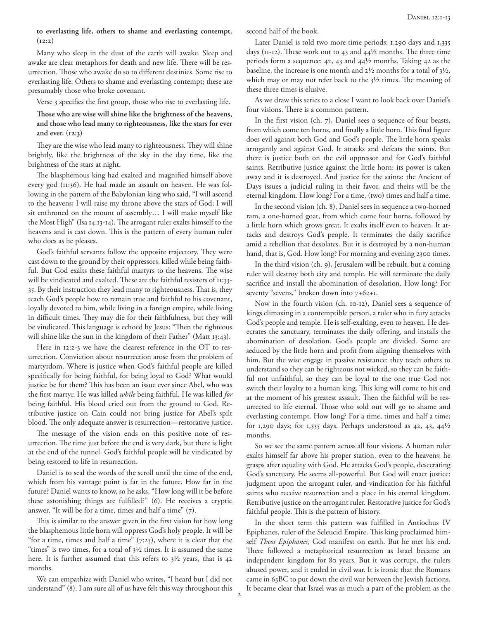#### **to everlasting life, others to shame and everlasting contempt. (12:2)**

Many who sleep in the dust of the earth will awake. Sleep and awake are clear metaphors for death and new life. There will be resurrection. Those who awake do so to different destinies. Some rise to everlasting life. Others to shame and everlasting contempt; these are presumably those who broke covenant.

Verse 3 specifies the first group, those who rise to everlasting life.

#### **Those who are wise will shine like the brightness of the heavens, and those who lead many to righteousness, like the stars for ever and ever. (12:3)**

They are the wise who lead many to righteousness. They will shine brightly, like the brightness of the sky in the day time, like the brightness of the stars at night.

The blasphemous king had exalted and magnified himself above every god (11:36). He had made an assault on heaven. He was following in the pattern of the Babylonian king who said, "I will ascend to the heavens; I will raise my throne above the stars of God; I will sit enthroned on the mount of assembly… I will make myself like the Most High" (Isa 14:13-14). The arrogant ruler exalts himself to the heavens and is cast down. This is the pattern of every human ruler who does as he pleases.

God's faithful servants follow the opposite trajectory. They were cast down to the ground by their oppressors, killed while being faithful. But God exalts these faithful martyrs to the heavens. The wise will be vindicated and exalted. These are the faithful resisters of 11:33- 35. By their instruction they lead many to righteousness. That is, they teach God's people how to remain true and faithful to his covenant, loyally devoted to him, while living in a foreign empire, while living in difficult times. They may die for their faithfulness, but they will be vindicated. This language is echoed by Jesus: "Then the righteous will shine like the sun in the kingdom of their Father" (Matt 13:43).

Here in 12:2-3 we have the clearest reference in the OT to resurrection. Conviction about resurrection arose from the problem of martyrdom. Where is justice when God's faithful people are killed specifically for being faithful, for being loyal to God? What would justice be for them? This has been an issue ever since Abel, who was the first martyr. He was killed *while* being faithful. He was killed *for* being faithful. His blood cried out from the ground to God. Retributive justice on Cain could not bring justice for Abel's spilt blood. The only adequate answer is resurrection—restorative justice.

The message of the vision ends on this positive note of resurrection. The time just before the end is very dark, but there is light at the end of the tunnel. God's faithful people will be vindicated by being restored to life in resurrection.

Daniel is to seal the words of the scroll until the time of the end, which from his vantage point is far in the future. How far in the future? Daniel wants to know, so he asks, "How long will it be before these astonishing things are fulfilled?" (6). He receives a cryptic answer, "It will be for a time, times and half a time" (7).

This is similar to the answer given in the first vision for how long the blasphemous little horn will oppress God's holy people. It will be "for a time, times and half a time"  $(7:25)$ , where it is clear that the "times" is two times, for a total of  $3\frac{1}{2}$  times. It is assumed the same here. It is further assumed that this refers to 3½ years, that is 42 months.

We can empathize with Daniel who writes, "I heard but I did not understand" (8). I am sure all of us have felt this way throughout this second half of the book.

Later Daniel is told two more time periods: 1,290 days and 1,335 days (11-12). These work out to 43 and 44½ months. The three time periods form a sequence: 42, 43 and 44½ months. Taking 42 as the baseline, the increase is one month and 2½ months for a total of 3½, which may or may not refer back to the 3½ times. The meaning of these three times is elusive.

As we draw this series to a close I want to look back over Daniel's four visions. There is a common pattern.

In the first vision (ch. 7), Daniel sees a sequence of four beasts, from which come ten horns, and finally a little horn. This final figure does evil against both God and God's people. The little horn speaks arrogantly and against God. It attacks and defeats the saints. But there is justice both on the evil oppressor and for God's faithful saints. Retributive justice against the little horn: its power is taken away and it is destroyed. And justice for the saints: the Ancient of Days issues a judicial ruling in their favor, and theirs will be the eternal kingdom. How long? For a time, (two) times and half a time.

In the second vision (ch. 8), Daniel sees in sequence a two-horned ram, a one-horned goat, from which come four horns, followed by a little horn which grows great. It exalts itself even to heaven. It attacks and destroys God's people. It terminates the daily sacrifice amid a rebellion that desolates. But it is destroyed by a non-human hand, that is, God. How long? For morning and evening 2300 times.

In the third vision (ch. 9), Jerusalem will be rebuilt, but a coming ruler will destroy both city and temple. He will terminate the daily sacrifice and install the abomination of desolation. How long? For seventy "sevens," broken down into 7+62+1.

Now in the fourth vision (ch. 10-12), Daniel sees a sequence of kings climaxing in a contemptible person, a ruler who in fury attacks God's people and temple. He is self-exalting, even to heaven. He desecrates the sanctuary, terminates the daily offering, and installs the abomination of desolation. God's people are divided. Some are seduced by the little horn and profit from aligning themselves with him. But the wise engage in passive resistance: they teach others to understand so they can be righteous not wicked, so they can be faithful not unfaithful, so they can be loyal to the one true God not switch their loyalty to a human king. This king will come to his end at the moment of his greatest assault. Then the faithful will be resurrected to life eternal. Those who sold out will go to shame and everlasting contempt. How long? For a time, times and half a time; for 1,290 days; for 1,335 days. Perhaps understood as 42, 43, 44 $\frac{1}{2}$ months.

So we see the same pattern across all four visions. A human ruler exalts himself far above his proper station, even to the heavens; he grasps after equality with God. He attacks God's people, desecrating God's sanctuary. He seems all-powerful. But God will enact justice: judgment upon the arrogant ruler, and vindication for his faithful saints who receive resurrection and a place in his eternal kingdom. Retributive justice on the arrogant ruler. Restorative justice for God's faithful people. This is the pattern of history.

In the short term this pattern was fulfilled in Antiochus IV Epiphanes, ruler of the Seleucid Empire. This king proclaimed himself *Theos Epiphanes*, God manifest on earth. But he met his end. There followed a metaphorical resurrection as Israel became an independent kingdom for 80 years. But it was corrupt, the rulers abused power, and it ended in civil war. It is ironic that the Romans came in 63BC to put down the civil war between the Jewish factions. It became clear that Israel was as much a part of the problem as the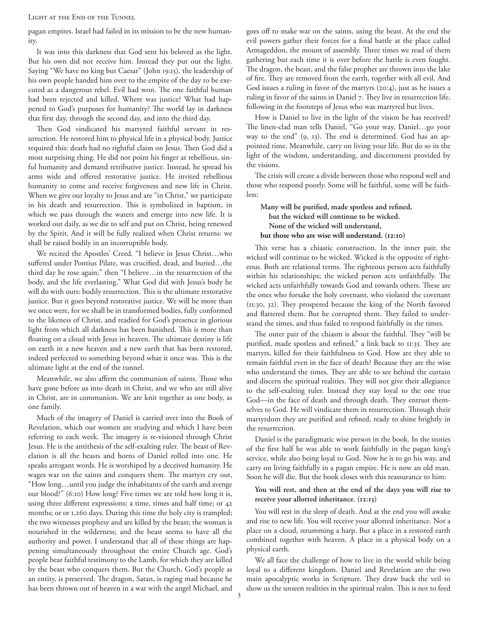LIGHT AT THE END OF THE TUNNEL

pagan empires. Israel had failed in its mission to be the new humanity.

It was into this darkness that God sent his beloved as the light. But his own did not receive him. Instead they put out the light. Saying "We have no king but Caesar" (John 19:15), the leadership of his own people handed him over to the empire of the day to be executed as a dangerous rebel. Evil had won. The one faithful human had been rejected and killed. Where was justice? What had happened to God's purposes for humanity? The world lay in darkness that first day, through the second day, and into the third day.

Then God vindicated his martyred faithful servant in resurrection. He restored him to physical life in a physical body. Justice required this: death had no rightful claim on Jesus. Then God did a most surprising thing. He did not point his finger at rebellious, sinful humanity and demand retributive justice. Instead, he spread his arms wide and offered restorative justice. He invited rebellious humanity to come and receive forgiveness and new life in Christ. When we give our loyalty to Jesus and are "in Christ," we participate in his death and resurrection. This is symbolized in baptism, in which we pass through the waters and emerge into new life. It is worked out daily, as we die to self and put on Christ, being renewed by the Spirit. And it will be fully realized when Christ returns: we shall be raised bodily in an incorruptible body.

We recited the Apostles' Creed. "I believe in Jesus Christ…who suffered under Pontius Pilate, was crucified, dead, and buried…the third day he rose again;" then "I believe…in the resurrection of the body, and the life everlasting." What God did with Jesus's body he will do with ours: bodily resurrection. This is the ultimate restorative justice. But it goes beyond restorative justice. We will be more than we once were, for we shall be in transformed bodies, fully conformed to the likeness of Christ, and readied for God's presence in glorious light from which all darkness has been banished. This is more than floating on a cloud with Jesus in heaven. The ultimate destiny is life on earth in a new heaven and a new earth that has been restored, indeed perfected to something beyond what it once was. This is the ultimate light at the end of the tunnel.

Meanwhile, we also affirm the communion of saints. Those who have gone before us into death in Christ, and we who are still alive in Christ, are in communion. We are knit together as one body, as one family.

Much of the imagery of Daniel is carried over into the Book of Revelation, which our women are studying and which I have been referring to each week. The imagery is re-visioned through Christ Jesus. He is the antithesis of the self-exalting ruler. The beast of Revelation is all the beasts and horns of Daniel rolled into one. He speaks arrogant words. He is worshiped by a deceived humanity. He wages war on the saints and conquers them. The martyrs cry out, "How long…until you judge the inhabitants of the earth and avenge our blood?" (6:10) How long? Five times we are told how long it is, using three different expressions: a time, times and half time; or 42 months; or or 1,260 days. During this time the holy city is trampled; the two witnesses prophesy and are killed by the beast; the woman is nourished in the wilderness; and the beast seems to have all the authority and power. I understand that all of these things are happening simultaneously throughout the entire Church age. God's people bear faithful testimony to the Lamb, for which they are killed by the beast who conquers them. But the Church, God's people as an entity, is preserved. The dragon, Satan, is raging mad because he has been thrown out of heaven in a war with the angel Michael, and

goes off to make war on the saints, using the beast. At the end the evil powers gather their forces for a final battle at the place called Armageddon, the mount of assembly. Three times we read of them gathering but each time it is over before the battle is even fought. The dragon, the beast, and the false prophet are thrown into the lake of fire. They are removed from the earth, together with all evil. And God issues a ruling in favor of the martyrs (20:4), just as he issues a ruling in favor of the saints in Daniel 7. They live in resurrection life, following in the footsteps of Jesus who was martyred but lives.

How is Daniel to live in the light of the vision he has received? The linen-clad man tells Daniel, "Go your way, Daniel…go your way to the end" (9, 13). The end is determined. God has an appointed time. Meanwhile, carry on living your life. But do so in the light of the wisdom, understanding, and discernment provided by the visions.

The crisis will create a divide between those who respond well and those who respond poorly. Some will be faithful, some will be faithless:

## **Many will be purified, made spotless and refined, but the wicked will continue to be wicked. None of the wicked will understand, but those who are wise will understand. (12:10)**

This verse has a chiastic construction. In the inner pair, the wicked will continue to be wicked. Wicked is the opposite of righteous. Both are relational terms. The righteous person acts faithfully within his relationships; the wicked person acts unfaithfully. The wicked acts unfaithfully towards God and towards others. These are the ones who forsake the holy covenant, who violated the covenant (11:30, 32). They prospered because the king of the North favored and flattered them. But he corrupted them. They failed to understand the times, and thus failed to respond faithfully in the times.

The outer pair of the chiasm is about the faithful. They "will be purified, made spotless and refined," a link back to 11:35. They are martyrs, killed for their faithfulness to God. How are they able to remain faithful even in the face of death? Because they are the wise who understand the times. They are able to see behind the curtain and discern the spiritual realities. They will not give their allegiance to the self-exalting ruler. Instead they stay loyal to the one true God—in the face of death and through death. They entrust themselves to God. He will vindicate them in resurrection. Through their martyrdom they are purified and refined, ready to shine brightly in the resurrection.

Daniel is the paradigmatic wise person in the book. In the stories of the first half he was able to work faithfully in the pagan king's service, while also being loyal to God. Now he is to go his way, and carry on living faithfully in a pagan empire. He is now an old man. Soon he will die. But the book closes with this reassurance to him:

### **You will rest, and then at the end of the days you will rise to receive your allotted inheritance. (12:13)**

You will rest in the sleep of death. And at the end you will awake and rise to new life. You will receive your allotted inheritance. Not a place on a cloud, strumming a harp. But a place in a restored earth combined together with heaven. A place in a physical body on a physical earth.

We all face the challenge of how to live in the world while being loyal to a different kingdom. Daniel and Revelation are the two main apocalyptic works in Scripture. They draw back the veil to show us the unseen realities in the spiritual realm. This is not to feed